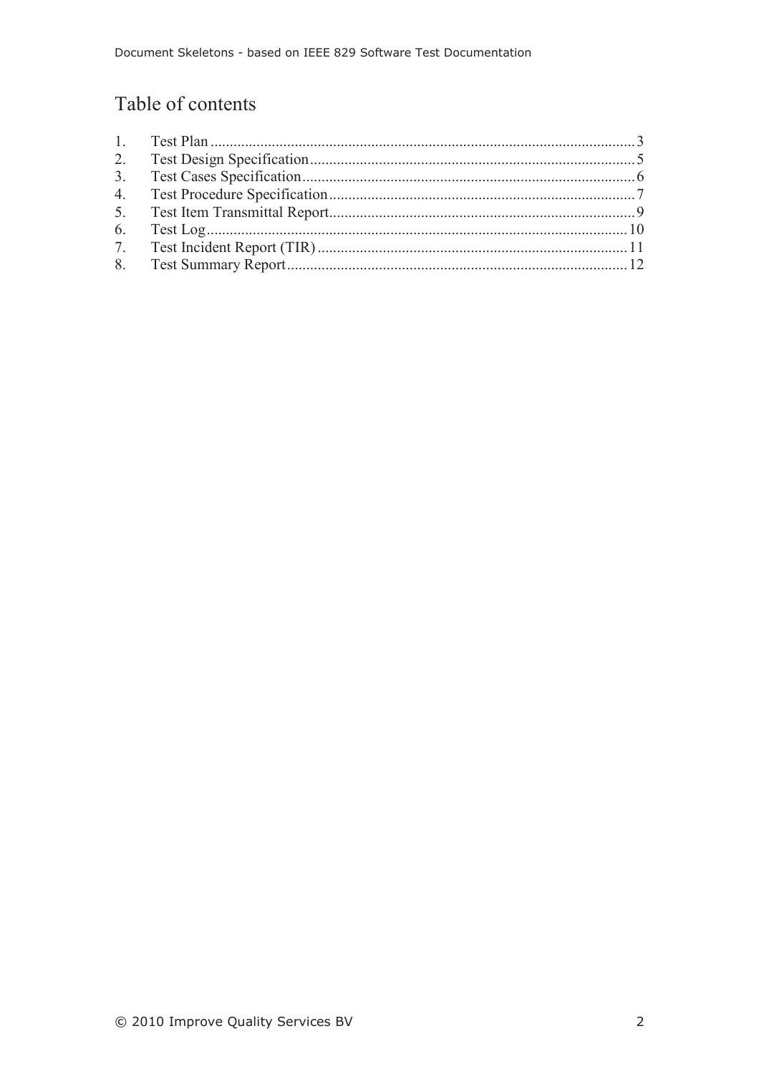# Table of contents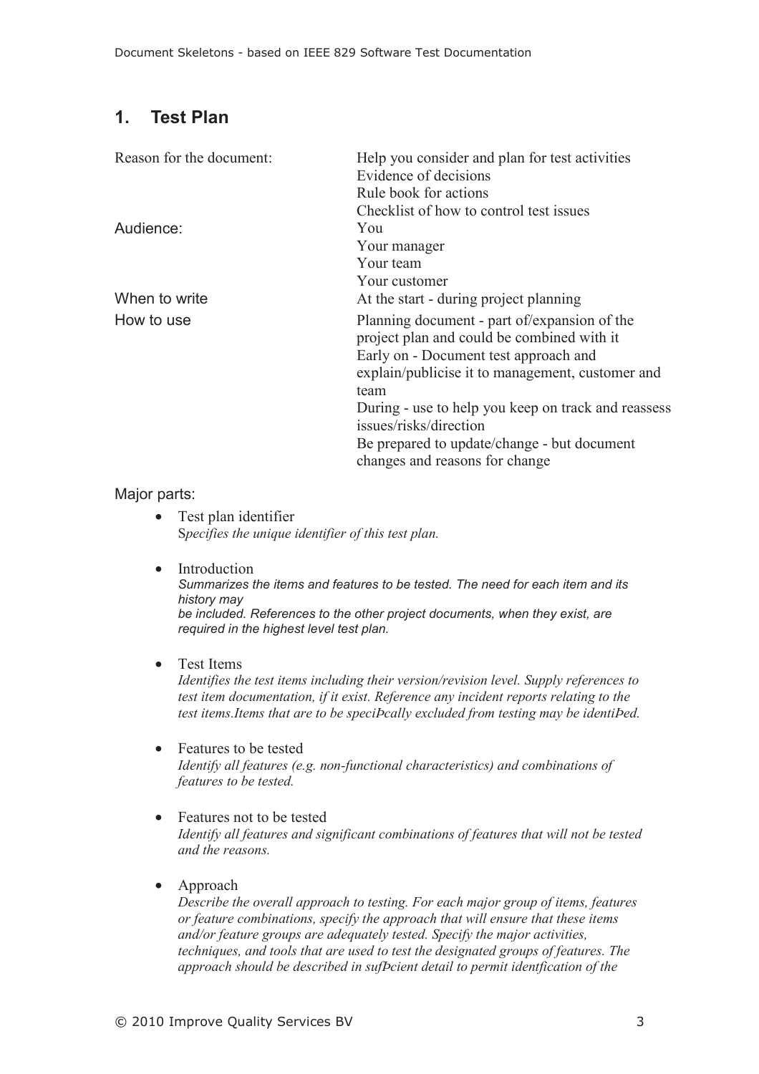### **1. Test Plan**

| Reason for the document: | Help you consider and plan for test activities<br>Evidence of decisions                                                                                                                         |
|--------------------------|-------------------------------------------------------------------------------------------------------------------------------------------------------------------------------------------------|
|                          | Rule book for actions                                                                                                                                                                           |
|                          | Checklist of how to control test issues                                                                                                                                                         |
| Audience:                | You                                                                                                                                                                                             |
|                          | Your manager                                                                                                                                                                                    |
|                          | Your team                                                                                                                                                                                       |
|                          | Your customer                                                                                                                                                                                   |
| When to write            | At the start - during project planning                                                                                                                                                          |
| How to use               | Planning document - part of/expansion of the<br>project plan and could be combined with it<br>Early on - Document test approach and<br>explain/publicise it to management, customer and<br>team |
|                          | During - use to help you keep on track and reassess<br>issues/risks/direction<br>Be prepared to update/change - but document<br>changes and reasons for change                                  |

#### Major parts:

- Test plan identifier S*pecifies the unique identifier of this test plan.*
- Introduction

*Summarizes the items and features to be tested. The need for each item and its history may* 

*be included. References to the other project documents, when they exist, are required in the highest level test plan.* 

• Test Items

*Identifies the test items including their version/revision level. Supply references to test item documentation, if it exist. Reference any incident reports relating to the test items.Items that are to be speciÞcally excluded from testing may be identiÞed.* 

- Features to be tested *Identify all features (e.g. non-functional characteristics) and combinations of features to be tested.*
- Features not to be tested *Identify all features and significant combinations of features that will not be tested and the reasons.*
- Approach

*Describe the overall approach to testing. For each major group of items, features or feature combinations, specify the approach that will ensure that these items and/or feature groups are adequately tested. Specify the major activities, techniques, and tools that are used to test the designated groups of features. The approach should be described in sufÞcient detail to permit identfication of the*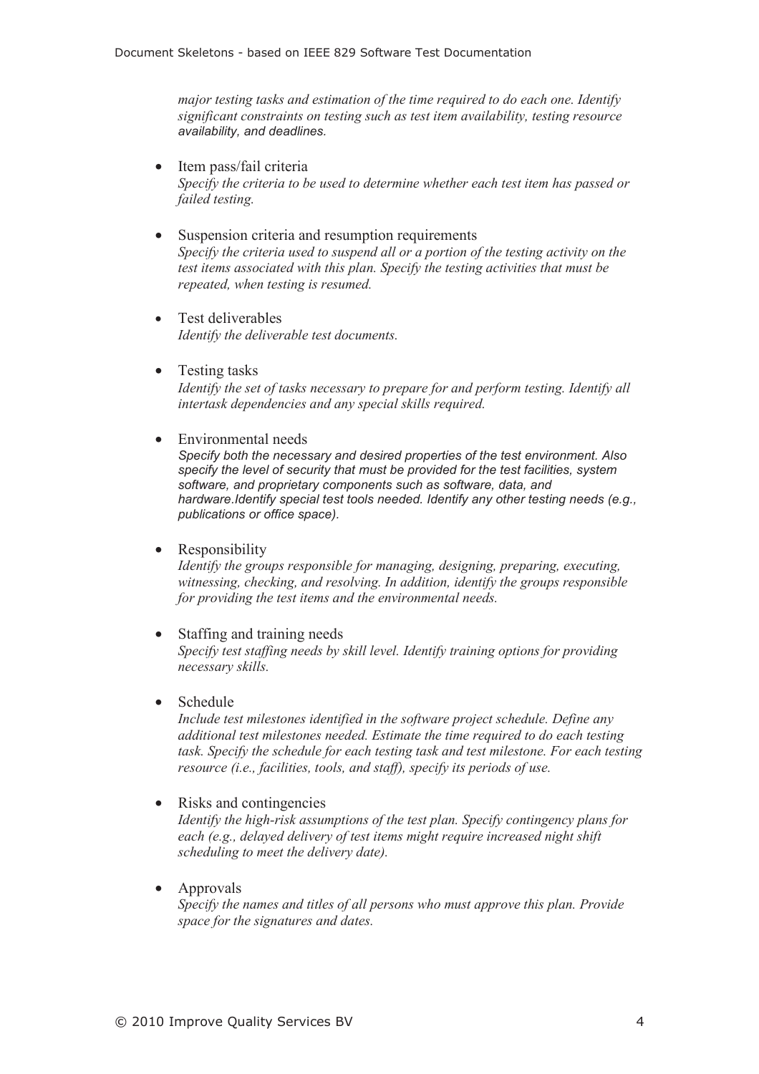*major testing tasks and estimation of the time required to do each one. Identify significant constraints on testing such as test item availability, testing resource availability, and deadlines.* 

- Item pass/fail criteria *Specify the criteria to be used to determine whether each test item has passed or failed testing.*
- Suspension criteria and resumption requirements *Specify the criteria used to suspend all or a portion of the testing activity on the test items associated with this plan. Specify the testing activities that must be repeated, when testing is resumed.*
- Test deliverables *Identify the deliverable test documents.*
- Testing tasks

*Identify the set of tasks necessary to prepare for and perform testing. Identify all intertask dependencies and any special skills required.* 

• Environmental needs

*Specify both the necessary and desired properties of the test environment. Also specify the level of security that must be provided for the test facilities, system software, and proprietary components such as software, data, and hardware.Identify special test tools needed. Identify any other testing needs (e.g., publications or office space).* 

• Responsibility

*Identify the groups responsible for managing, designing, preparing, executing, witnessing, checking, and resolving. In addition, identify the groups responsible for providing the test items and the environmental needs.* 

Staffing and training needs

*Specify test staffing needs by skill level. Identify training options for providing necessary skills.* 

• Schedule

*Include test milestones identified in the software project schedule. Define any additional test milestones needed. Estimate the time required to do each testing task. Specify the schedule for each testing task and test milestone. For each testing resource (i.e., facilities, tools, and staff), specify its periods of use.* 

• Risks and contingencies

*Identify the high-risk assumptions of the test plan. Specify contingency plans for each (e.g., delayed delivery of test items might require increased night shift scheduling to meet the delivery date).* 

• Approvals

*Specify the names and titles of all persons who must approve this plan. Provide space for the signatures and dates.*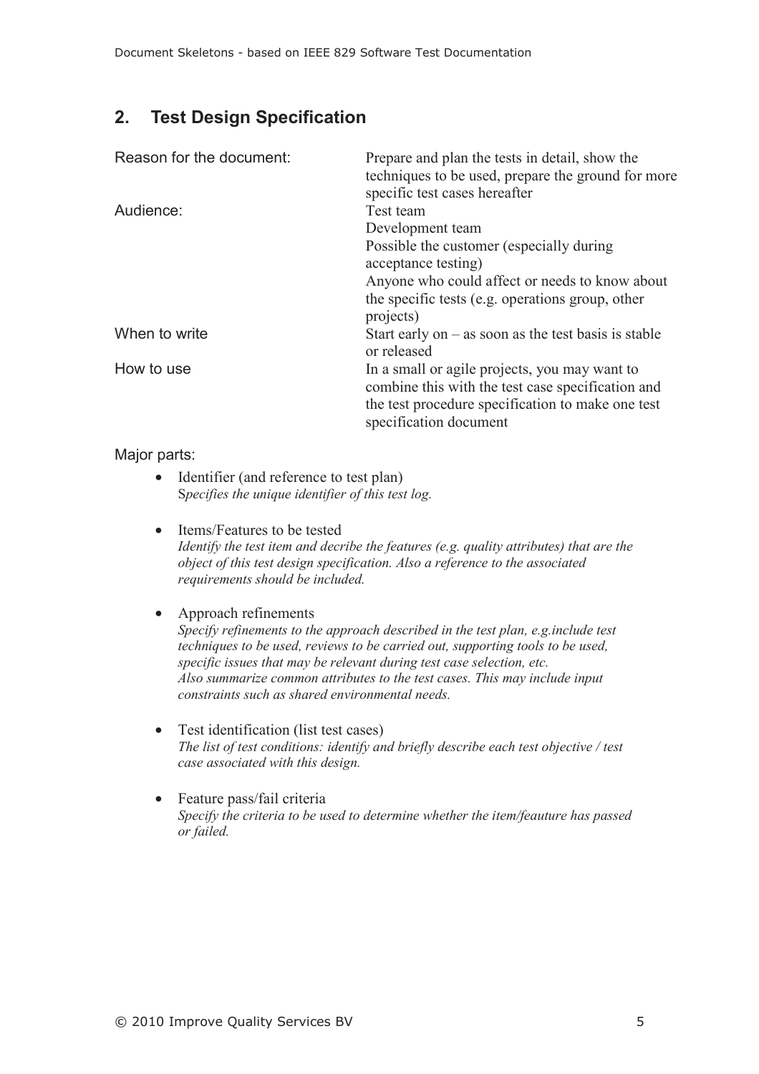### **2. Test Design Specification**

| Reason for the document: | Prepare and plan the tests in detail, show the<br>techniques to be used, prepare the ground for more<br>specific test cases hereafter |
|--------------------------|---------------------------------------------------------------------------------------------------------------------------------------|
| Audience:                | Test team                                                                                                                             |
|                          | Development team                                                                                                                      |
|                          | Possible the customer (especially during                                                                                              |
|                          | acceptance testing)                                                                                                                   |
|                          | Anyone who could affect or needs to know about                                                                                        |
|                          | the specific tests (e.g. operations group, other                                                                                      |
|                          | projects)                                                                                                                             |
| When to write            | Start early on $-$ as soon as the test basis is stable<br>or released                                                                 |
| How to use               | In a small or agile projects, you may want to                                                                                         |
|                          | combine this with the test case specification and                                                                                     |
|                          | the test procedure specification to make one test                                                                                     |
|                          | specification document                                                                                                                |

#### Major parts:

- Identifier (and reference to test plan) S*pecifies the unique identifier of this test log.*
- Items/Features to be tested *Identify the test item and decribe the features (e.g. quality attributes) that are the object of this test design specification. Also a reference to the associated requirements should be included.*

### • Approach refinements

*Specify refinements to the approach described in the test plan, e.g.include test techniques to be used, reviews to be carried out, supporting tools to be used, specific issues that may be relevant during test case selection, etc. Also summarize common attributes to the test cases. This may include input constraints such as shared environmental needs.*

- Test identification (list test cases) *The list of test conditions: identify and briefly describe each test objective / test case associated with this design.*
- Feature pass/fail criteria *Specify the criteria to be used to determine whether the item/feauture has passed or failed.*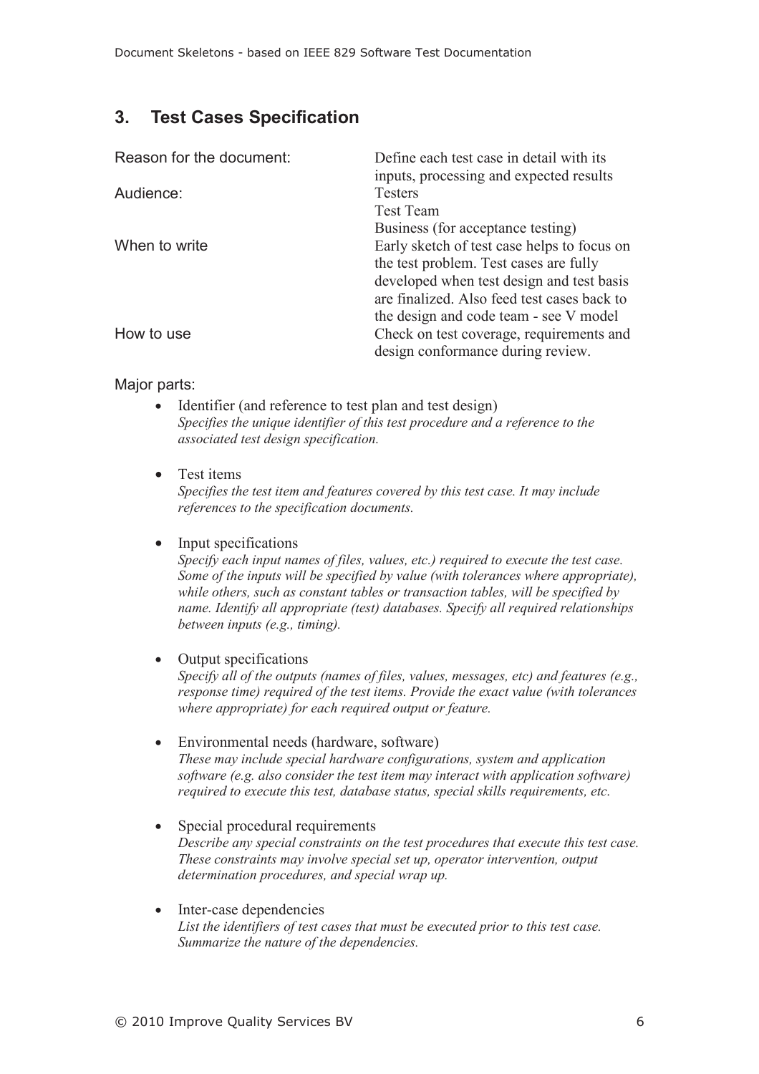## **3. Test Cases Specification**

| Reason for the document: | Define each test case in detail with its<br>inputs, processing and expected results |
|--------------------------|-------------------------------------------------------------------------------------|
| Audience:                | <b>Testers</b>                                                                      |
|                          | <b>Test Team</b>                                                                    |
|                          | Business (for acceptance testing)                                                   |
| When to write            | Early sketch of test case helps to focus on                                         |
|                          | the test problem. Test cases are fully                                              |
|                          | developed when test design and test basis                                           |
|                          | are finalized. Also feed test cases back to                                         |
|                          | the design and code team - see V model                                              |
| How to use               | Check on test coverage, requirements and                                            |
|                          | design conformance during review.                                                   |

#### Major parts:

- Identifier (and reference to test plan and test design) *Specifies the unique identifier of this test procedure and a reference to the associated test design specification.*
- Test items

*Specifies the test item and features covered by this test case. It may include references to the specification documents.*

• Input specifications

*Specify each input names of files, values, etc.) required to execute the test case. Some of the inputs will be specified by value (with tolerances where appropriate), while others, such as constant tables or transaction tables, will be specified by name. Identify all appropriate (test) databases. Specify all required relationships between inputs (e.g., timing).* 

#### • Output specifications

*Specify all of the outputs (names of files, values, messages, etc) and features (e.g., response time) required of the test items. Provide the exact value (with tolerances where appropriate) for each required output or feature.* 

#### • Environmental needs (hardware, software) *These may include special hardware configurations, system and application software (e.g. also consider the test item may interact with application software) required to execute this test, database status, special skills requirements, etc.*

• Special procedural requirements *Describe any special constraints on the test procedures that execute this test case. These constraints may involve special set up, operator intervention, output determination procedures, and special wrap up.* 

#### • Inter-case dependencies *List the identifiers of test cases that must be executed prior to this test case. Summarize the nature of the dependencies.*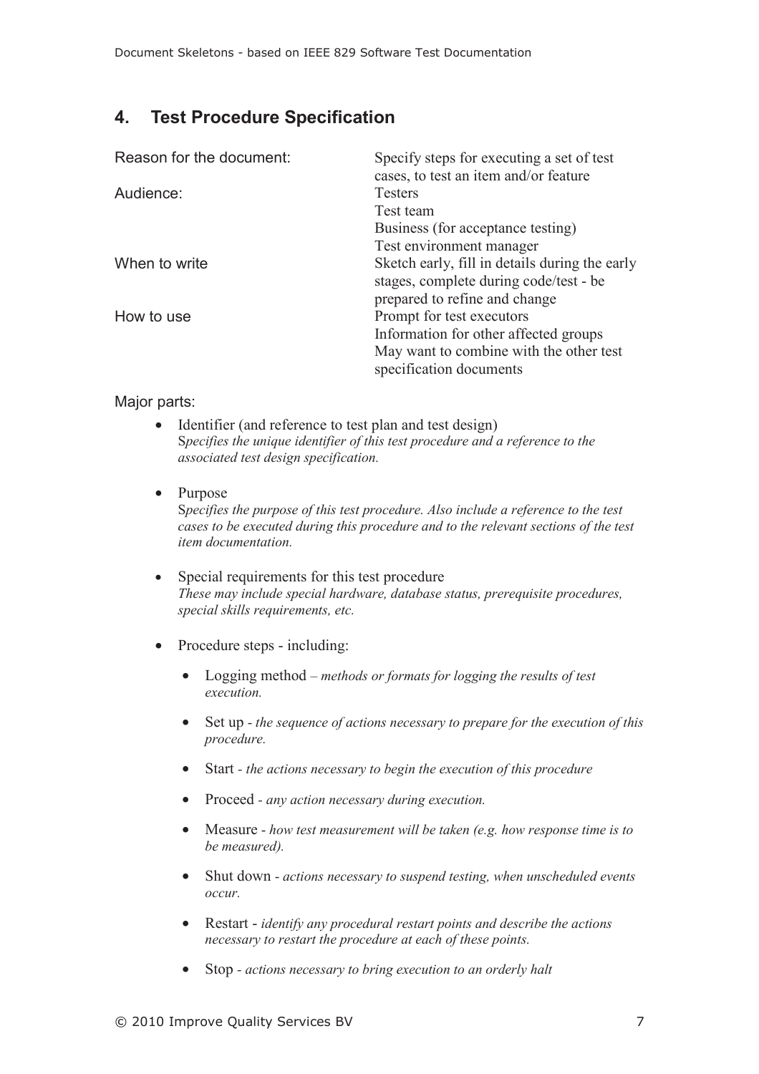### **4. Test Procedure Specification**

| Reason for the document: | Specify steps for executing a set of test<br>cases, to test an item and/or feature |
|--------------------------|------------------------------------------------------------------------------------|
| Audience:                | <b>Testers</b>                                                                     |
|                          | Test team                                                                          |
|                          | Business (for acceptance testing)                                                  |
|                          | Test environment manager                                                           |
| When to write            | Sketch early, fill in details during the early                                     |
|                          | stages, complete during code/test - be                                             |
|                          | prepared to refine and change                                                      |
| How to use               | Prompt for test executors                                                          |
|                          | Information for other affected groups                                              |
|                          | May want to combine with the other test                                            |
|                          | specification documents                                                            |

#### Major parts:

- Identifier (and reference to test plan and test design) S*pecifies the unique identifier of this test procedure and a reference to the associated test design specification.*
- Purpose S*pecifies the purpose of this test procedure. Also include a reference to the test cases to be executed during this procedure and to the relevant sections of the test item documentation.*
- Special requirements for this test procedure *These may include special hardware, database status, prerequisite procedures, special skills requirements, etc.*
- Procedure steps including:
	- Logging method *methods or formats for logging the results of test execution.*
	- Set up *the sequence of actions necessary to prepare for the execution of this procedure.*
	- Start  *the actions necessary to begin the execution of this procedure*
	- Proceed  *any action necessary during execution.*
	- Measure *how test measurement will be taken (e.g. how response time is to be measured).*
	- Shut down *actions necessary to suspend testing, when unscheduled events occur.*
	- Restart *identify any procedural restart points and describe the actions necessary to restart the procedure at each of these points.*
	- Stop  *actions necessary to bring execution to an orderly halt*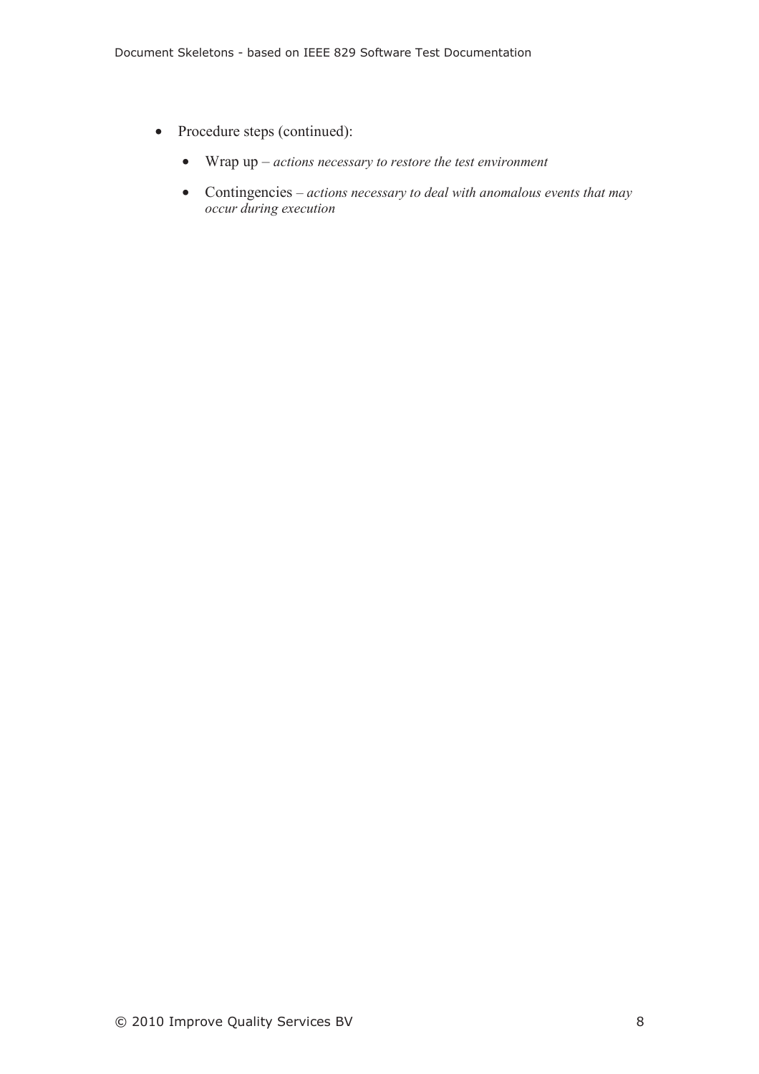- Procedure steps (continued):
	- Wrap  $up actions necessary$  to restore the test environment
	- Contingencies actions necessary to deal with anomalous events that may occur during execution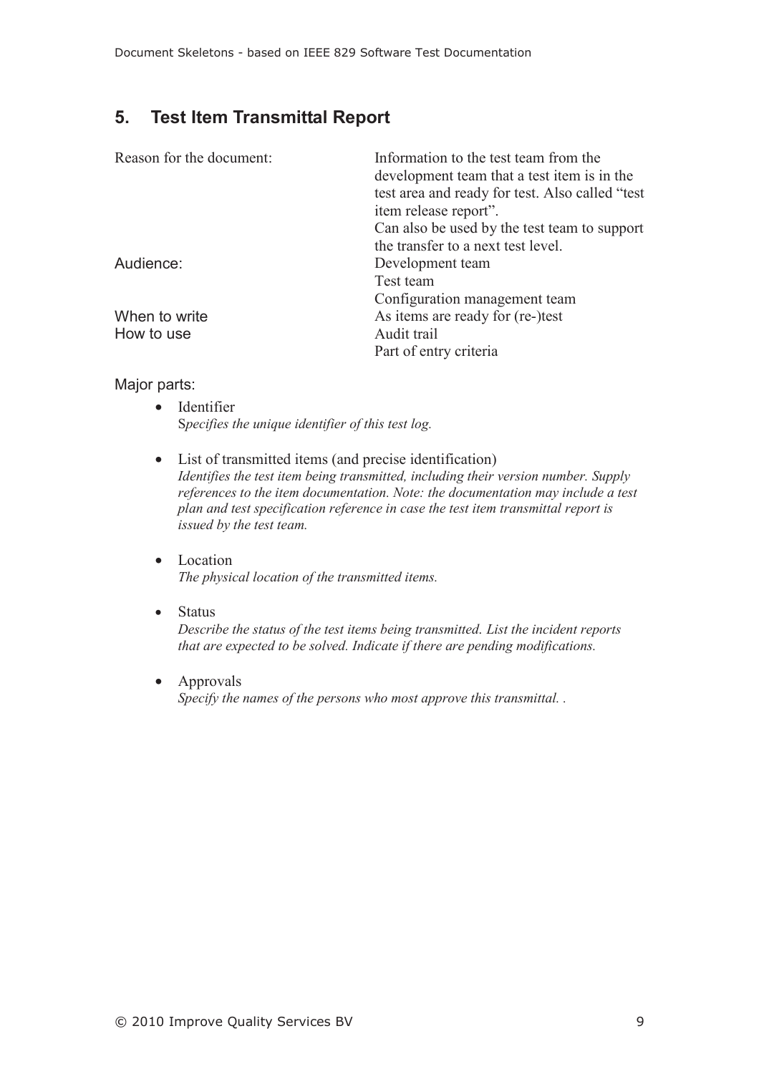### **5. Test Item Transmittal Report**

| Reason for the document: | Information to the test team from the<br>development team that a test item is in the<br>test area and ready for test. Also called "test<br>item release report". |
|--------------------------|------------------------------------------------------------------------------------------------------------------------------------------------------------------|
|                          | Can also be used by the test team to support<br>the transfer to a next test level.                                                                               |
|                          |                                                                                                                                                                  |
| Audience:                | Development team                                                                                                                                                 |
|                          | Test team                                                                                                                                                        |
|                          | Configuration management team                                                                                                                                    |
| When to write            | As items are ready for (re-)test                                                                                                                                 |
| How to use               | Audit trail                                                                                                                                                      |
|                          | Part of entry criteria                                                                                                                                           |

Major parts:

- Identifier S*pecifies the unique identifier of this test log.*
- List of transmitted items (and precise identification) *Identifies the test item being transmitted, including their version number. Supply references to the item documentation. Note: the documentation may include a test plan and test specification reference in case the test item transmittal report is issued by the test team.*
- Location *The physical location of the transmitted items.*
- Status *Describe the status of the test items being transmitted. List the incident reports*
- Approvals *Specify the names of the persons who most approve this transmittal. .*

*that are expected to be solved. Indicate if there are pending modifications.*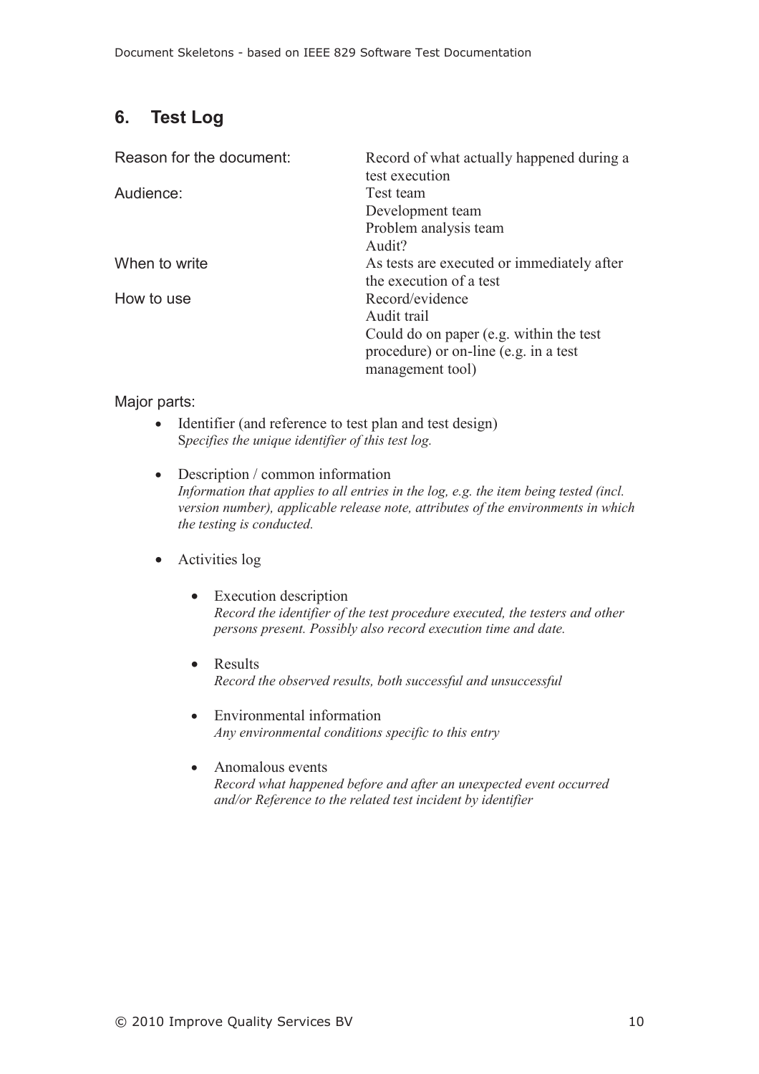## **6. Test Log**

| Reason for the document: | Record of what actually happened during a<br>test execution |
|--------------------------|-------------------------------------------------------------|
| Audience:                | Test team                                                   |
|                          | Development team                                            |
|                          | Problem analysis team                                       |
|                          | Audit?                                                      |
| When to write            | As tests are executed or immediately after                  |
|                          | the execution of a test                                     |
| How to use               | Record/evidence                                             |
|                          | Audit trail                                                 |
|                          | Could do on paper (e.g. within the test                     |
|                          | procedure) or on-line (e.g. in a test                       |
|                          | management tool)                                            |

#### Major parts:

- Identifier (and reference to test plan and test design) S*pecifies the unique identifier of this test log.*
- Description / common information *Information that applies to all entries in the log, e.g. the item being tested (incl. version number), applicable release note, attributes of the environments in which the testing is conducted.*
- Activities log
	- Execution description *Record the identifier of the test procedure executed, the testers and other persons present. Possibly also record execution time and date.*
	- Results *Record the observed results, both successful and unsuccessful*
	- Environmental information *Any environmental conditions specific to this entry*
	- Anomalous events *Record what happened before and after an unexpected event occurred and/or Reference to the related test incident by identifier*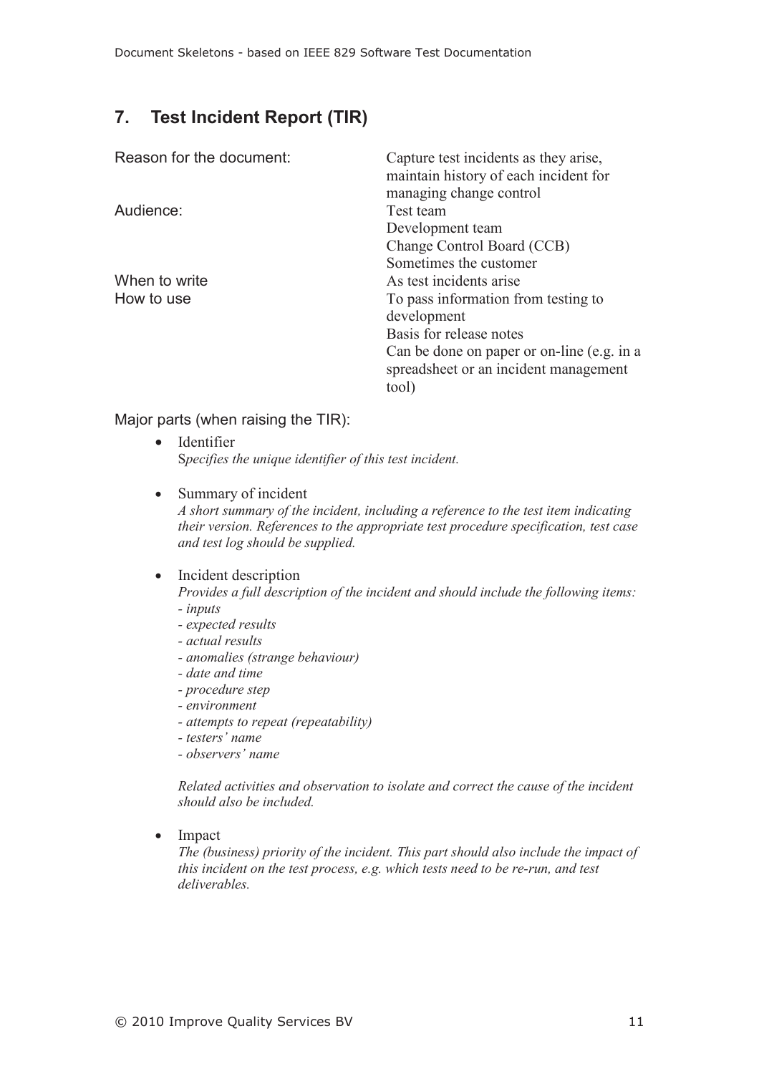# **7. Test Incident Report (TIR)**

| Reason for the document: | Capture test incidents as they arise,<br>maintain history of each incident for<br>managing change control |
|--------------------------|-----------------------------------------------------------------------------------------------------------|
| Audience:                | Test team                                                                                                 |
|                          | Development team                                                                                          |
|                          | Change Control Board (CCB)                                                                                |
|                          | Sometimes the customer                                                                                    |
| When to write            | As test incidents arise                                                                                   |
| How to use               | To pass information from testing to                                                                       |
|                          | development                                                                                               |
|                          | Basis for release notes                                                                                   |
|                          | Can be done on paper or on-line (e.g. in a<br>spreadsheet or an incident management                       |
|                          | tool)                                                                                                     |
|                          |                                                                                                           |

### Major parts (when raising the TIR):

- Identifier S*pecifies the unique identifier of this test incident.*
- Summary of incident *A short summary of the incident, including a reference to the test item indicating their version. References to the appropriate test procedure specification, test case and test log should be supplied.*
- Incident description *Provides a full description of the incident and should include the following items:* 
	- *inputs*
	- *expected results*
	- *actual results*
	- *anomalies (strange behaviour)*
	- *date and time*
	- *procedure step*
	- *environment*
	- *attempts to repeat (repeatability)*
	- *testers' name*
	- *observers' name*

*Related activities and observation to isolate and correct the cause of the incident should also be included.* 

• Impact

*The (business) priority of the incident. This part should also include the impact of this incident on the test process, e.g. which tests need to be re-run, and test deliverables.*